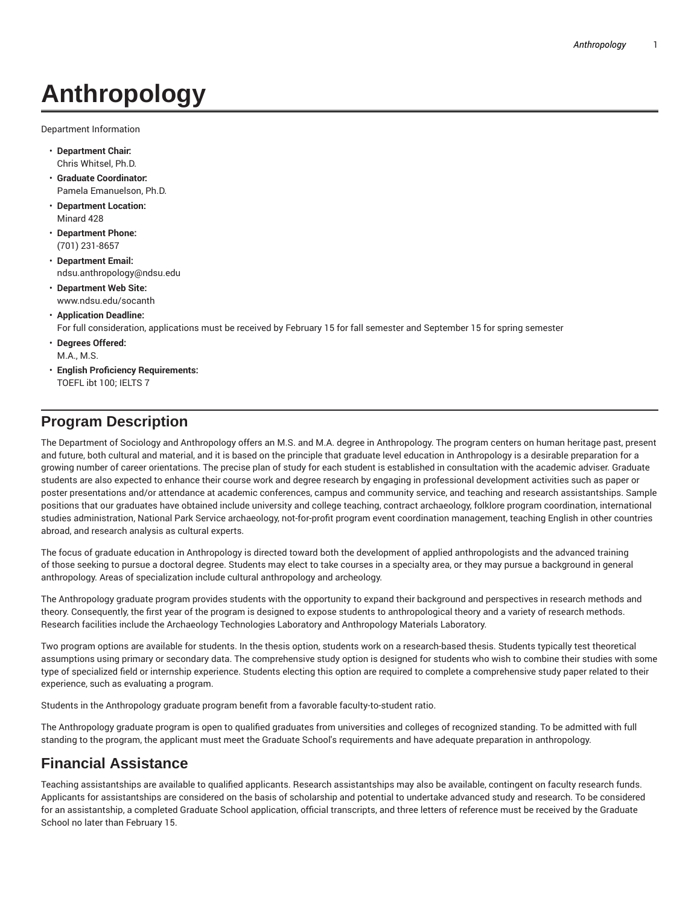# **Anthropology**

Department Information

- **Department Chair:** Chris Whitsel, Ph.D.
- **Graduate Coordinator:** Pamela Emanuelson, Ph.D.
- **Department Location:** Minard 428
- **Department Phone:** (701) 231-8657
- **Department Email:** ndsu.anthropology@ndsu.edu
- **Department Web Site:** www.ndsu.edu/socanth

### • **Application Deadline:**

For full consideration, applications must be received by February 15 for fall semester and September 15 for spring semester

- **Degrees Offered:** M.A., M.S.
- **English Proficiency Requirements:** TOEFL ibt 100; IELTS 7

## **Program Description**

The Department of Sociology and Anthropology offers an M.S. and M.A. degree in Anthropology. The program centers on human heritage past, present and future, both cultural and material, and it is based on the principle that graduate level education in Anthropology is a desirable preparation for a growing number of career orientations. The precise plan of study for each student is established in consultation with the academic adviser. Graduate students are also expected to enhance their course work and degree research by engaging in professional development activities such as paper or poster presentations and/or attendance at academic conferences, campus and community service, and teaching and research assistantships. Sample positions that our graduates have obtained include university and college teaching, contract archaeology, folklore program coordination, international studies administration, National Park Service archaeology, not-for-profit program event coordination management, teaching English in other countries abroad, and research analysis as cultural experts.

The focus of graduate education in Anthropology is directed toward both the development of applied anthropologists and the advanced training of those seeking to pursue a doctoral degree. Students may elect to take courses in a specialty area, or they may pursue a background in general anthropology. Areas of specialization include cultural anthropology and archeology.

The Anthropology graduate program provides students with the opportunity to expand their background and perspectives in research methods and theory. Consequently, the first year of the program is designed to expose students to anthropological theory and a variety of research methods. Research facilities include the Archaeology Technologies Laboratory and Anthropology Materials Laboratory.

Two program options are available for students. In the thesis option, students work on a research-based thesis. Students typically test theoretical assumptions using primary or secondary data. The comprehensive study option is designed for students who wish to combine their studies with some type of specialized field or internship experience. Students electing this option are required to complete a comprehensive study paper related to their experience, such as evaluating a program.

Students in the Anthropology graduate program benefit from a favorable faculty-to-student ratio.

The Anthropology graduate program is open to qualified graduates from universities and colleges of recognized standing. To be admitted with full standing to the program, the applicant must meet the Graduate School's requirements and have adequate preparation in anthropology.

## **Financial Assistance**

Teaching assistantships are available to qualified applicants. Research assistantships may also be available, contingent on faculty research funds. Applicants for assistantships are considered on the basis of scholarship and potential to undertake advanced study and research. To be considered for an assistantship, a completed Graduate School application, official transcripts, and three letters of reference must be received by the Graduate School no later than February 15.